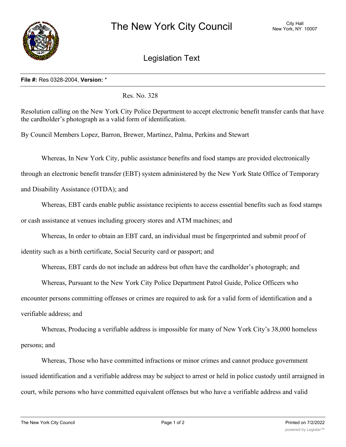

## Legislation Text

## **File #:** Res 0328-2004, **Version:** \*

Res. No. 328

Resolution calling on the New York City Police Department to accept electronic benefit transfer cards that have the cardholder's photograph as a valid form of identification.

By Council Members Lopez, Barron, Brewer, Martinez, Palma, Perkins and Stewart

Whereas, In New York City, public assistance benefits and food stamps are provided electronically

through an electronic benefit transfer (EBT) system administered by the New York State Office of Temporary

and Disability Assistance (OTDA); and

Whereas, EBT cards enable public assistance recipients to access essential benefits such as food stamps or cash assistance at venues including grocery stores and ATM machines; and

Whereas, In order to obtain an EBT card, an individual must be fingerprinted and submit proof of

identity such as a birth certificate, Social Security card or passport; and

Whereas, EBT cards do not include an address but often have the cardholder's photograph; and

Whereas, Pursuant to the New York City Police Department Patrol Guide, Police Officers who

encounter persons committing offenses or crimes are required to ask for a valid form of identification and a verifiable address; and

Whereas, Producing a verifiable address is impossible for many of New York City's 38,000 homeless persons; and

Whereas, Those who have committed infractions or minor crimes and cannot produce government issued identification and a verifiable address may be subject to arrest or held in police custody until arraigned in court, while persons who have committed equivalent offenses but who have a verifiable address and valid